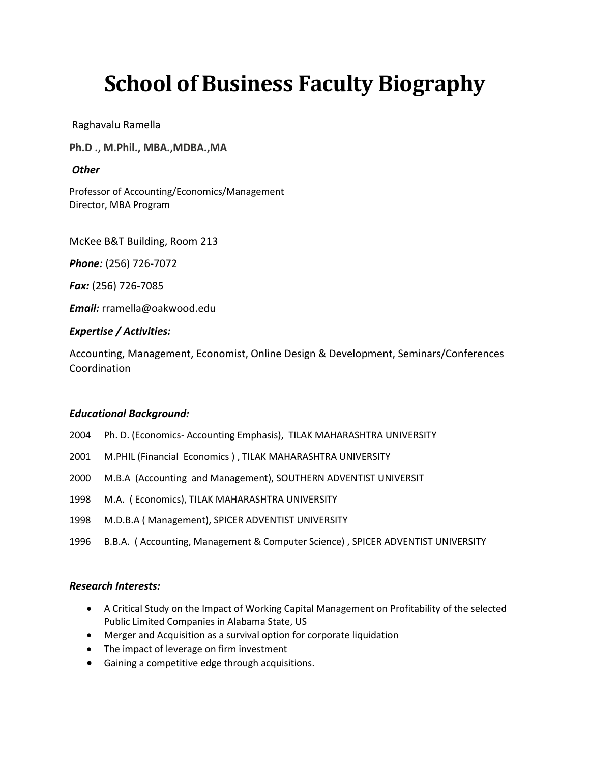# **School of Business Faculty Biography**

Raghavalu Ramella

**Ph.D ., M.Phil., MBA.,MDBA.,MA**

## *Other*

Professor of Accounting/Economics/Management Director, MBA Program

McKee B&T Building, Room 213

*Phone:* (256) 726-7072

*Fax:* (256) 726-7085

*Email:* rramella@oakwood.edu

## *Expertise / Activities:*

Accounting, Management, Economist, Online Design & Development, Seminars/Conferences Coordination

## *Educational Background:*

- 2004 Ph. D. (Economics- Accounting Emphasis), TILAK MAHARASHTRA UNIVERSITY
- 2001 M.PHIL (Financial Economics ) , TILAK MAHARASHTRA UNIVERSITY
- 2000 M.B.A (Accounting and Management), SOUTHERN ADVENTIST UNIVERSIT
- 1998 M.A. ( Economics), TILAK MAHARASHTRA UNIVERSITY
- 1998 M.D.B.A ( Management), SPICER ADVENTIST UNIVERSITY
- 1996 B.B.A. ( Accounting, Management & Computer Science) , SPICER ADVENTIST UNIVERSITY

#### *Research Interests:*

- A Critical Study on the Impact of Working Capital Management on Profitability of the selected Public Limited Companies in Alabama State, US
- Merger and Acquisition as a survival option for corporate liquidation
- The impact of leverage on firm investment
- Gaining a competitive edge through acquisitions.